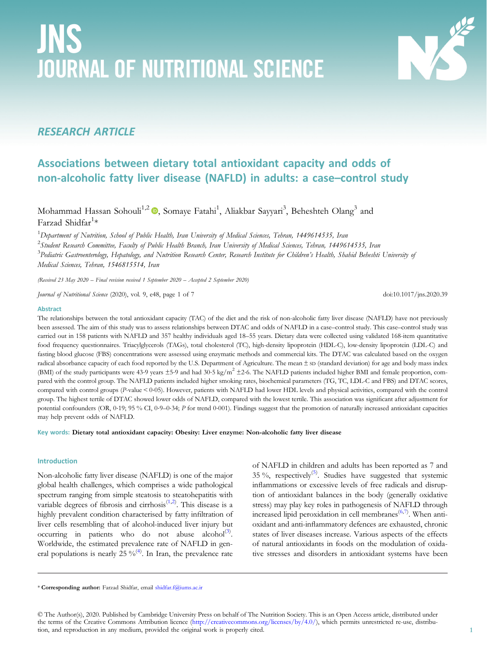# JNS JOURNAL OF NUTRITIONAL SCIENCE

## RESEARCH ARTICLE

# Associations between dietary total antioxidant capacity and odds of non-alcoholic fatty liver disease (NAFLD) in adults: a case–control study

Mohammad Hassan Sohouli<sup>1,2</sup> (D, Somaye Fatahi<sup>1</sup>, Aliakbar Sayyari<sup>3</sup>, Beheshteh Olang<sup>3</sup> and Farzad Shidfar<sup>1</sup>\*

 $^1$ Department of Nutrition, School of Public Health, Iran University of Medical Sciences, Tehran, 1449614535, Iran

 $^2$ Student Research Committee, Faculty of Public Health Branch, Iran University of Medical Sciences, Tehran, 1449614535, Iran

<sup>3</sup>Pediatric Gastroenterology, Hepatology, and Nutrition Research Center, Research Institute for Children's Health, Shahid Beheshti University of Medical Sciences, Tehran, 1546815514, Iran

(Received 23 May 2020 – Final revision received 1 September 2020 – Accepted 2 September 2020)

Journal of Nutritional Science (2020), vol. 9, e48, page 1 of 7 doi:10.1017/jns.2020.39

Abstract

The relationships between the total antioxidant capacity (TAC) of the diet and the risk of non-alcoholic fatty liver disease (NAFLD) have not previously been assessed. The aim of this study was to assess relationships between DTAC and odds of NAFLD in a case–control study. This case–control study was carried out in 158 patients with NAFLD and 357 healthy individuals aged 18–55 years. Dietary data were collected using validated 168-item quantitative food frequency questionnaires. Triacylglycerols (TAGs), total cholesterol (TC), high-density lipoprotein (HDL-C), low-density lipoprotein (LDL-C) and fasting blood glucose (FBS) concentrations were assessed using enzymatic methods and commercial kits. The DTAC was calculated based on the oxygen radical absorbance capacity of each food reported by the U.S. Department of Agriculture. The mean  $\pm$  so (standard deviation) for age and body mass index (BMI) of the study participants were 43⋅9 years  $\pm$ 5⋅9 and had 30⋅5 kg/m<sup>2</sup>  $\pm$ 2⋅6. The NAFLD patients included higher BMI and female proportion, compared with the control group. The NAFLD patients included higher smoking rates, biochemical parameters (TG, TC, LDL-C and FBS) and DTAC scores, compared with control groups (P-value < 0⋅05). However, patients with NAFLD had lower HDL levels and physical activities, compared with the control group. The highest tertile of DTAC showed lower odds of NAFLD, compared with the lowest tertile. This association was significant after adjustment for potential confounders (OR, 0⋅19; 95 % CI, 0⋅9–0⋅34; P for trend 0⋅001). Findings suggest that the promotion of naturally increased antioxidant capacities may help prevent odds of NAFLD.

Key words: Dietary total antioxidant capacity: Obesity: Liver enzyme: Non-alcoholic fatty liver disease

#### Introduction

Non-alcoholic fatty liver disease (NAFLD) is one of the major global health challenges, which comprises a wide pathological spectrum ranging from simple steatosis to steatohepatitis with variable degrees of fibrosis and cirrhosis<sup> $(1,2)$ </sup>. This disease is a highly prevalent condition characterised by fatty infiltration of liver cells resembling that of alcohol-induced liver injury but occurring in patients who do not abuse alcohol<sup>([3](#page-5-0))</sup>. Worldwide, the estimated prevalence rate of NAFLD in general populations is nearly  $25\%^{(4)}$  $25\%^{(4)}$  $25\%^{(4)}$ . In Iran, the prevalence rate

of NAFLD in children and adults has been reported as 7 and 3[5](#page-5-0) %, respectively<sup>(5)</sup>. Studies have suggested that systemic inflammations or excessive levels of free radicals and disruption of antioxidant balances in the body (generally oxidative stress) may play key roles in pathogenesis of NAFLD through increased lipid peroxidation in cell membranes<sup>[\(6,7\)](#page-5-0)</sup>. When antioxidant and anti-inflammatory defences are exhausted, chronic states of liver diseases increase. Various aspects of the effects of natural antioxidants in foods on the modulation of oxidative stresses and disorders in antioxidant systems have been

\* Corresponding author: Farzad Shidfar, email [shidfar.f@iums.ac.ir](mailto:shidfar.f@iums.ac.ir)

© The Author(s), 2020. Published by Cambridge University Press on behalf of The Nutrition Society. This is an Open Access article, distributed under the terms of the Creative Commons Attribution licence [\(http://creativecommons.org/licenses/by/4.0/\)](http://creativecommons.org/licenses/by/4.0/), which permits unrestricted re-use, distribution, and reproduction in any medium, provided the original work is properly cited.

W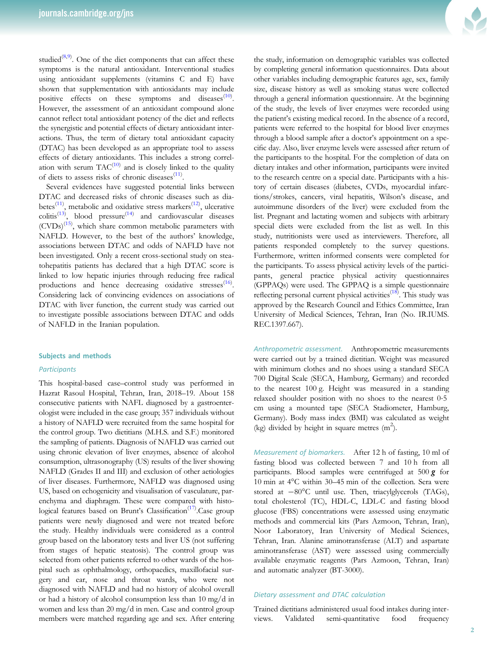

Several evidences have suggested potential links between DTAC and decreased risks of chronic diseases such as dia-betes<sup>[\(11](#page-5-0))</sup>, metabolic and oxidative stress markers<sup>([12\)](#page-5-0)</sup>, ulcerative colitis<sup>([13\)](#page-5-0)</sup>, blood pressure<sup>([14\)](#page-5-0)</sup> and cardiovascular diseases (CVDs)<sup>([15\)](#page-5-0)</sup>, which share common metabolic parameters with NAFLD. However, to the best of the authors' knowledge, associations between DTAC and odds of NAFLD have not been investigated. Only a recent cross-sectional study on steatohepatitis patients has declared that a high DTAC score is linked to low hepatic injuries through reducing free radical productions and hence decreasing oxidative stresses<sup>[\(16](#page-5-0))</sup>. Considering lack of convincing evidences on associations of DTAC with liver function, the current study was carried out to investigate possible associations between DTAC and odds of NAFLD in the Iranian population.

#### Subjects and methods

#### **Participants**

This hospital-based case–control study was performed in Hazrat Rasoul Hospital, Tehran, Iran, 2018–19. About 158 consecutive patients with NAFL diagnosed by a gastroenterologist were included in the case group; 357 individuals without a history of NAFLD were recruited from the same hospital for the control group. Two dietitians (M.H.S. and S.F.) monitored the sampling of patients. Diagnosis of NAFLD was carried out using chronic elevation of liver enzymes, absence of alcohol consumption, ultrasonography (US) results of the liver showing NAFLD (Grades II and III) and exclusion of other aetiologies of liver diseases. Furthermore, NAFLD was diagnosed using US, based on echogenicity and visualisation of vasculature, parenchyma and diaphragm. These were compared with histo-logical features based on Brunt's Classification<sup>[\(17](#page-5-0))</sup>. Case group patients were newly diagnosed and were not treated before the study. Healthy individuals were considered as a control group based on the laboratory tests and liver US (not suffering from stages of hepatic steatosis). The control group was selected from other patients referred to other wards of the hospital such as ophthalmology, orthopaedics, maxillofacial surgery and ear, nose and throat wards, who were not diagnosed with NAFLD and had no history of alcohol overall or had a history of alcohol consumption less than 10 mg/d in women and less than 20 mg/d in men. Case and control group members were matched regarding age and sex. After entering



the study, information on demographic variables was collected by completing general information questionnaires. Data about other variables including demographic features age, sex, family size, disease history as well as smoking status were collected through a general information questionnaire. At the beginning of the study, the levels of liver enzymes were recorded using the patient's existing medical record. In the absence of a record, patients were referred to the hospital for blood liver enzymes through a blood sample after a doctor's appointment on a specific day. Also, liver enzyme levels were assessed after return of the participants to the hospital. For the completion of data on dietary intakes and other information, participants were invited to the research centre on a special date. Participants with a history of certain diseases (diabetes, CVDs, myocardial infarctions/strokes, cancers, viral hepatitis, Wilson's disease, and autoimmune disorders of the liver) were excluded from the list. Pregnant and lactating women and subjects with arbitrary special diets were excluded from the list as well. In this study, nutritionists were used as interviewers. Therefore, all patients responded completely to the survey questions. Furthermore, written informed consents were completed for the participants. To assess physical activity levels of the participants, general practice physical activity questionnaires (GPPAQs) were used. The GPPAQ is a simple questionnaire reflecting personal current physical activities<sup>[\(18](#page-5-0))</sup>. This study was approved by the Research Council and Ethics Committee, Iran University of Medical Sciences, Tehran, Iran (No. IR.IUMS. REC.1397.667).

Anthropometric assessment. Anthropometric measurements were carried out by a trained dietitian. Weight was measured with minimum clothes and no shoes using a standard SECA 700 Digital Scale (SECA, Hamburg, Germany) and recorded to the nearest 100 g. Height was measured in a standing relaxed shoulder position with no shoes to the nearest 0⋅5 cm using a mounted tape (SECA Stadiometer, Hamburg, Germany). Body mass index (BMI) was calculated as weight (kg) divided by height in square metres  $(m^2)$ .

Measurement of biomarkers. After 12 h of fasting, 10 ml of fasting blood was collected between 7 and 10 h from all participants. Blood samples were centrifuged at  $500 g$  for 10 min at 4°C within 30–45 min of the collection. Sera were stored at −80°C until use. Then, triacylglycerols (TAGs), total cholesterol (TC), HDL-C, LDL-C and fasting blood glucose (FBS) concentrations were assessed using enzymatic methods and commercial kits (Pars Azmoon, Tehran, Iran), Noor Laboratory, Iran University of Medical Sciences, Tehran, Iran. Alanine aminotransferase (ALT) and aspartate aminotransferase (AST) were assessed using commercially available enzymatic reagents (Pars Azmoon, Tehran, Iran) and automatic analyzer (BT-3000).

### Dietary assessment and DTAC calculation

Trained dietitians administered usual food intakes during interviews. Validated semi-quantitative food frequency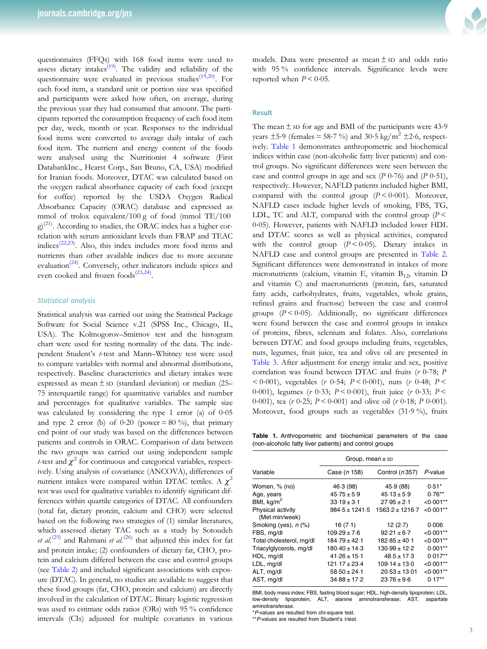questionnaires (FFQs) with 168 food items were used to assess dietary intakes $(19)$  $(19)$ . The validity and reliability of the questionnaire were evaluated in previous studies<sup>[\(19,20](#page-5-0))</sup>. For each food item, a standard unit or portion size was specified and participants were asked how often, on average, during the previous year they had consumed that amount. The participants reported the consumption frequency of each food item per day, week, month or year. Responses to the individual food items were converted to average daily intake of each food item. The nutrient and energy content of the foods were analysed using the Nutritionist 4 software (First DatabankInc., Hearst Corp., San Bruno, CA, USA) modified for Iranian foods. Moreover, DTAC was calculated based on the oxygen radical absorbance capacity of each food (except for coffee) reported by the USDA Oxygen Radical Absorbance Capacity (ORAC) database and expressed as mmol of trolox equivalent/100 g of food (mmol TE/100  $g^{(21)}$  $g^{(21)}$  $g^{(21)}$ . According to studies, the ORAC index has a higher correlation with serum antioxidant levels than FRAP and TEAC indices[\(22](#page-5-0),[23\)](#page-5-0) . Also, this index includes more food items and nutrients than other available indices due to more accurate evaluation<sup>([24\)](#page-5-0)</sup>. Conversely, other indicators include spices and even cooked and frozen foods<sup>[\(23,24](#page-5-0))</sup>.

#### Statistical analysis

Statistical analysis was carried out using the Statistical Package Software for Social Science v.21 (SPSS Inc., Chicago, IL, USA). The Kolmogorov–Smirnov test and the histogram chart were used for testing normality of the data. The independent Student's t-test and Mann–Whitney test were used to compare variables with normal and abnormal distributions, respectively. Baseline characteristics and dietary intakes were expressed as mean  $\pm$  sp (standard deviation) or median (25– 75 interquartile range) for quantitative variables and number and percentages for qualitative variables. The sample size was calculated by considering the type 1 error (a) of 0⋅05 and type 2 error (b) of  $0.20$  (power =  $80\%$ ), that primary end point of our study was based on the differences between patients and controls in ORAC. Comparison of data between the two groups was carried out using independent sample t-test and  $\chi^2$  for continuous and categorical variables, respectively. Using analysis of covariance (ANCOVA), differences of nutrient intakes were compared within DTAC tertiles. A  $\chi^2$ test was used for qualitative variables to identify significant differences within quartile categories of DTAC. All confounders (total fat, dietary protein, calcium and CHO) were selected based on the following two strategies of (1) similar literatures, which assessed dietary TAC such as a study by Sotoudeh et al.<sup>([25\)](#page-5-0)</sup> and Rahmani et al.<sup>[\(26](#page-5-0))</sup> that adjusted this index for fat and protein intake; (2) confounders of dietary fat, CHO, protein and calcium differed between the case and control groups (see [Table 2](#page-3-0)) and included significant associations with exposure (DTAC). In general, no studies are available to suggest that these food groups (fat, CHO, protein and calcium) are directly involved in the calculation of DTAC. Binary logistic regression was used to estimate odds ratios (ORs) with 95 % confidence intervals (CIs) adjusted for multiple covariates in various



models. Data were presented as mean  $\pm$  sD and odds ratio with 95 % confidence intervals. Significance levels were reported when  $P < 0.05$ .

#### Result

The mean ± SD for age and BMI of the participants were 43⋅9 years  $\pm$ 5⋅9 (females = 58⋅7 %) and 30⋅5 kg/m<sup>2</sup>  $\pm$ 2⋅6, respectively. Table 1 demonstrates anthropometric and biochemical indices within case (non-alcoholic fatty liver patients) and control groups. No significant differences were seen between the case and control groups in age and sex  $(P 0.76)$  and  $(P 0.51)$ , respectively. However, NAFLD patients included higher BMI, compared with the control group ( $P < 0.001$ ). Moreover, NAFLD cases include higher levels of smoking, FBS, TG, LDL, TC and ALT, compared with the control group  $(P <$ 0⋅05). However, patients with NAFLD included lower HDL and DTAC scores as well as physical activities, compared with the control group  $(P < 0.05)$ . Dietary intakes in NAFLD case and control groups are presented in [Table 2](#page-3-0). Significant differences were demonstrated in intakes of more micronutrients (calcium, vitamin E, vitamin B<sub>12</sub>, vitamin D and vitamin C) and macronutrients (protein, fats, saturated fatty acids, carbohydrates, fruits, vegetables, whole grains, refined grains and fructose) between the case and control groups  $(P < 0.05)$ . Additionally, no significant differences were found between the case and control groups in intakes of proteins, fibres, selenium and folates. Also, correlations between DTAC and food groups including fruits, vegetables, nuts, legumes, fruit juice, tea and olive oil are presented in [Table 3](#page-3-0). After adjustment for energy intake and sex, positive correlation was found between DTAC and fruits (r 0⋅78; P  $< 0.001$ ), vegetables (r 0⋅54; P  $< 0.001$ ), nuts (r 0⋅48; P  $<$ 0⋅001), legumes (r 0⋅33; P < 0⋅001), fruit juice (r 0⋅33; P < 0⋅001), tea (r 0⋅25; P < 0⋅001) and olive oil (r 0⋅18; P 0⋅001). Moreover, food groups such as vegetables (31⋅9 %), fruits

Table 1. Anthropometric and biochemical parameters of the case (non-alcoholic fatty liver patients) and control groups

|                                     | Group, mean $\pm$ sp |                     |             |
|-------------------------------------|----------------------|---------------------|-------------|
| Variable                            | Case ( <i>n</i> 158) | Control $(n357)$    | P-value     |
| Women, % (no)                       | 46.3 (98)            | 45.9 (88)           | $0.51*$     |
| Age, years                          | $45.75 \pm 5.9$      | $45.13 \pm 5.9$     | $0.76**$    |
| BMI, $kg/m2$                        | $33.19 \pm 3.1$      | $27.95 \pm 2.1$     | $< 0.001**$ |
| Physical activity<br>(Met-min/week) | $984.5 \pm 1241.5$   | $1563.2 \pm 1216.7$ | $<0.001**$  |
| Smoking (yes), n (%)                | 16(7.1)              | 12(2.7)             | 0.006       |
| FBS, mg/dl                          | $109.29 \pm 7.6$     | $92.21 \pm 6.7$     | $< 0.001**$ |
| Total cholesterol, mg/dl            | $184.79 \pm 42.1$    | $182.85 \pm 40.1$   | $<0.001**$  |
| Triacylglycerols, mg/dl             | $180.40 \pm 14.3$    | $130.99 \pm 12.2$   | $0.001**$   |
| HDL, mg/dl                          | $41.26 \pm 15.1$     | $48.5 \pm 17.3$     | $0.017**$   |
| LDL, mg/dl                          | $121.17 \pm 23.4$    | $109.14 \pm 13.0$   | $<0.001**$  |
| ALT, mg/dl                          | $58.50 \pm 24.1$     | $20.53 \pm 13.01$   | $<0.001**$  |
| AST, mg/dl                          | $34.88 \pm 17.2$     | $23.76 \pm 9.6$     | $0.17***$   |

BMI, body mass index; FBS, fasting blood sugar; HDL, high-density lipoprotein; LDL, low-density lipoprotein; ALT, alanine aminotransferase; AST, aspartate aminotransferase.

\*P-values are resulted from chi-square test.

\*\*P-values are resulted from Student's t-test.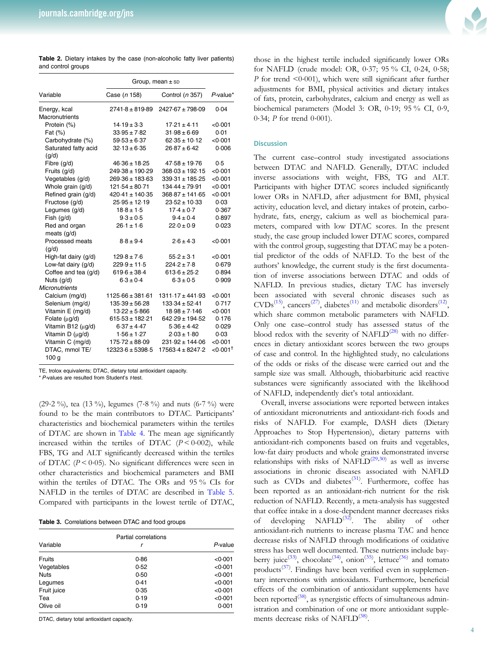and control groups

|                       | Group, mean $\pm$ sp |                      |                                |
|-----------------------|----------------------|----------------------|--------------------------------|
| Variable              | Case (n 158)         | Control (n 357)      | $P$ -value*                    |
| Energy, kcal          | $2741.8 + 819.89$    | $2427.67 + 798.09$   | 0.04                           |
| Macronutrients        |                      |                      |                                |
| Protein (%)           | $14.19 \pm 3.3$      | $17.21 \pm 4.11$     | < 0.001                        |
| Fat $(\%)$            | $33.95 \pm 7.82$     | $31.98 \pm 6.69$     | 0.01                           |
| Carbohydrate (%)      | $59.53 \pm 6.37$     | $62.35 \pm 10.12$    | < 0.001                        |
| Saturated fatty acid  | $32.13 \pm 6.35$     | $26.87 \pm 6.42$     | 0.006                          |
| (q/d)                 |                      |                      |                                |
| Fibre (g/d)           | $46.36 \pm 18.25$    | $47.58 \pm 19.76$    | 0.5                            |
| Fruits (g/d)          | $249.38 \pm 190.29$  | $368.03 \pm 192.15$  | < 0.001                        |
| Vegetables (g/d)      | $269.36 \pm 183.63$  | $339.31 \pm 185.25$  | < 0.001                        |
| Whole grain (g/d)     | $121.54 \pm 80.71$   | $134.44 \pm 79.91$   | < 0.001                        |
| Refined grain (g/d)   | $420.41 \pm 140.35$  | $368.87 \pm 141.65$  | < 0.001                        |
| Fructose (g/d)        | $25.95 \pm 12.19$    | $23.52 \pm 10.33$    | 0.03                           |
| Legumes (g/d)         | $18.8 \pm 1.5$       | $17.4 \pm 0.7$       | 0.367                          |
| Fish (g/d)            | $9.3 \pm 0.5$        | $9.4 \pm 0.4$        | 0.897                          |
| Red and organ         | $26.1 \pm 1.6$       | $22.0 \pm 0.9$       | 0.023                          |
| meats (q/d)           |                      |                      |                                |
| Processed meats       | $8.8 \pm 9.4$        | $2.6 \pm 4.3$        | < 0.001                        |
| (g/d)                 |                      |                      |                                |
| High-fat dairy (g/d)  | $129.8 \pm 7.6$      | $55.2 \pm 3.1$       | < 0.001                        |
| Low-fat dairy (g/d)   | $229.9 \pm 11.5$     | $224.2 \pm 7.8$      | 0.679                          |
| Coffee and tea (g/d)  | $619.6 \pm 38.4$     | $613.6 \pm 25.2$     | 0.894                          |
| Nuts (g/d)            | $6.3 \pm 0.4$        | $6.3 \pm 0.5$        | 0.909                          |
| <b>Micronutrients</b> |                      |                      |                                |
| Calcium (mg/d)        | $1125.66 \pm 381.61$ | $1311.17 \pm 441.93$ | < 0.001                        |
| Selenium (mg/d)       | $135.39 \pm 56.28$   | $133.34 \pm 52.41$   | 0.717                          |
| Vitamin E (mg/d)      | $13.22 \pm 5.866$    | $18.98 \pm 7.146$    | < 0.001                        |
| Folate $(\mu g/d)$    | $615.53 \pm 182.21$  | $642.29 \pm 194.52$  | 0.176                          |
| Vitamin B12 (µg/d)    | $6.37 \pm 4.47$      | $5.36 \pm 4.42$      | 0.029                          |
| Vitamin D (µg/d)      | $1.56 \pm 1.27$      | $2.03 \pm 1.80$      | 0.03                           |
| Vitamin C (mg/d)      | $175.72 \pm 88.09$   | $231.92 \pm 144.06$  | < 0.001                        |
| DTAC, mmol TE/        | $12323.6 \pm 5398.5$ | $17563.4 \pm 8247.2$ | $<$ 0 $\cdot$ 001 $^{\dagger}$ |
| 100 g                 |                      |                      |                                |

<span id="page-3-0"></span>Table 2. Dietary intakes by the case (non-alcoholic fatty liver patients)

TE, trolox equivalents; DTAC, dietary total antioxidant capacity.

\* P-values are resulted from Student's t-test.

(29⋅2 %), tea (13 %), legumes (7⋅8 %) and nuts (6⋅7 %) were found to be the main contributors to DTAC. Participants' characteristics and biochemical parameters within the tertiles of DTAC are shown in [Table 4](#page-4-0). The mean age significantly increased within the tertiles of DTAC  $(P < 0.002)$ , while FBS, TG and ALT significantly decreased within the tertiles of DTAC ( $P < 0.05$ ). No significant differences were seen in other characteristics and biochemical parameters and BMI within the tertiles of DTAC. The ORs and 95 % CIs for NAFLD in the tertiles of DTAC are described in [Table 5](#page-4-0). Compared with participants in the lowest tertile of DTAC,

| Table 3. Correlations between DTAC and food groups |
|----------------------------------------------------|
|----------------------------------------------------|

| Variable    | Partial correlations<br>r | P-value |
|-------------|---------------------------|---------|
| Fruits      | 0.86                      | <0.001  |
| Vegetables  | 0.52                      | < 0.001 |
| <b>Nuts</b> | 0.50                      | < 0.001 |
| Legumes     | 0.41                      | < 0.001 |
| Fruit juice | 0.35                      | <0.001  |
| Tea         | 0.19                      | < 0.001 |
| Olive oil   | 0.19                      | 0.001   |

DTAC, dietary total antioxidant capacity.



those in the highest tertile included significantly lower ORs for NAFLD (crude model: OR, 0⋅37; 95 % CI, 0⋅24, 0⋅58; P for trend <0⋅001), which were still significant after further adjustments for BMI, physical activities and dietary intakes of fats, protein, carbohydrates, calcium and energy as well as biochemical parameters (Model 3: OR, 0⋅19; 95 % CI, 0⋅9, 0⋅34; P for trend 0⋅001).

#### **Discussion**

The current case–control study investigated associations between DTAC and NAFLD. Generally, DTAC included inverse associations with weight, FBS, TG and ALT. Participants with higher DTAC scores included significantly lower ORs in NAFLD, after adjustment for BMI, physical activity, education level, and dietary intakes of protein, carbohydrate, fats, energy, calcium as well as biochemical parameters, compared with low DTAC scores. In the present study, the case group included lower DTAC scores, compared with the control group, suggesting that DTAC may be a potential predictor of the odds of NAFLD. To the best of the authors' knowledge, the current study is the first documentation of inverse associations between DTAC and odds of NAFLD. In previous studies, dietary TAC has inversely been associated with several chronic diseases such as  $\text{CVDs}^{(15)}$  $\text{CVDs}^{(15)}$  $\text{CVDs}^{(15)}$ , cancers<sup>[\(27](#page-5-0))</sup>, diabetes<sup>([11\)](#page-5-0)</sup> and metabolic disorders<sup>[\(12](#page-5-0))</sup>, which share common metabolic parameters with NAFLD. Only one case–control study has assessed status of the blood redox with the severity of  $NAFLD<sup>(28)</sup>$  $NAFLD<sup>(28)</sup>$  $NAFLD<sup>(28)</sup>$  with no differences in dietary antioxidant scores between the two groups of case and control. In the highlighted study, no calculations of the odds or risks of the disease were carried out and the sample size was small. Although, thiobarbituric acid reactive substances were significantly associated with the likelihood of NAFLD, independently diet's total antioxidant.

Overall, inverse associations were reported between intakes of antioxidant micronutrients and antioxidant-rich foods and risks of NAFLD. For example, DASH diets (Dietary Approaches to Stop Hypertension), dietary patterns with antioxidant-rich components based on fruits and vegetables, low-fat dairy products and whole grains demonstrated inverse relationships with risks of NAFL $D^{(29,30)}$  $D^{(29,30)}$  $D^{(29,30)}$  $D^{(29,30)}$  $D^{(29,30)}$  as well as inverse associations in chronic diseases associated with NAFLD such as CVDs and diabetes<sup>[\(31](#page-5-0))</sup>. Furthermore, coffee has been reported as an antioxidant-rich nutrient for the risk reduction of NAFLD. Recently, a meta-analysis has suggested that coffee intake in a dose-dependent manner decreases risks of developing NAFLD<sup>[\(32](#page-5-0))</sup>. The ability of other antioxidant-rich nutrients to increase plasma TAC and hence decrease risks of NAFLD through modifications of oxidative stress has been well documented. These nutrients include bay-berry juice<sup>[\(33](#page-5-0))</sup>, chocolate<sup>([34\)](#page-5-0)</sup>, onion<sup>([35\)](#page-5-0)</sup>, lettuce<sup>[\(36](#page-6-0))</sup> and tomato products<sup>[\(37](#page-6-0))</sup>. Findings have been verified even in supplementary interventions with antioxidants. Furthermore, beneficial effects of the combination of antioxidant supplements have been reported<sup>([38\)](#page-6-0)</sup>, as synergistic effects of simultaneous administration and combination of one or more antioxidant supplements decrease risks of  $\mathrm{NAFLD}^{(38)}.$  $\mathrm{NAFLD}^{(38)}.$  $\mathrm{NAFLD}^{(38)}.$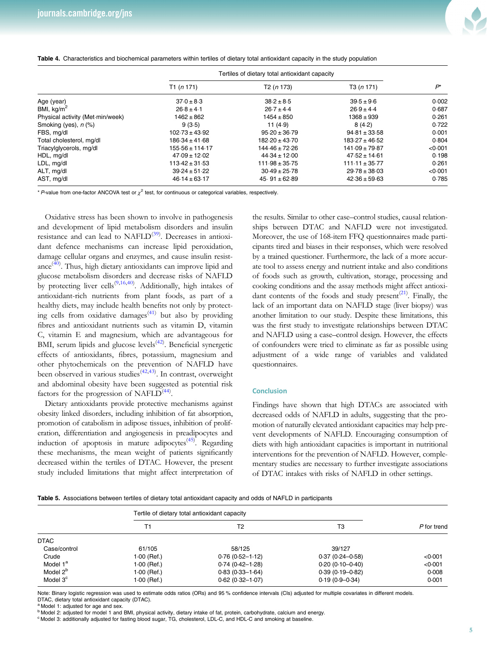

|                                  | Tertiles of dietary total antioxidant capacity |                        |                    |         |
|----------------------------------|------------------------------------------------|------------------------|--------------------|---------|
|                                  | T1(n 171)                                      | T <sub>2</sub> (n 173) | T3(n 171)          | Þ*      |
| Age (year)                       | $37.0 \pm 8.3$                                 | $38.2 \pm 8.5$         | $39.5 \pm 9.6$     | 0.002   |
| BMI, $kg/m2$                     | $26.8 \pm 4.1$                                 | $26.7 \pm 4.4$         | $26.9 \pm 4.4$     | 0.687   |
| Physical activity (Met-min/week) | $1462 \pm 862$                                 | $1454 \pm 850$         | $1368 \pm 939$     | 0.261   |
| Smoking (yes), $n$ (%)           | 9(3.5)                                         | 11(4.9)                | 8(4.2)             | 0.722   |
| FBS, mg/dl                       | $102.73 \pm 43.92$                             | $95.20 \pm 36.79$      | $94.81 \pm 33.58$  | 0.001   |
| Total cholesterol, mg/dl         | $186.34 \pm 41.68$                             | $182.20 \pm 43.70$     | $183.27 \pm 46.52$ | 0.804   |
| Triacylglycerols, mg/dl          | $155.56 \pm 114.17$                            | $144.46 \pm 72.26$     | $141.09 \pm 79.87$ | < 0.001 |
| HDL, mg/dl                       | $47.09 \pm 12.02$                              | $44.34 \pm 12.00$      | $47.52 \pm 14.61$  | 0.198   |
| LDL, mg/dl                       | $113.42 \pm 31.53$                             | $111.98 \pm 35.75$     | $111.11 \pm 35.77$ | 0.261   |
| ALT, mg/dl                       | $39.24 \pm 51.22$                              | $30.49 \pm 25.78$      | $29.78 \pm 38.03$  | < 0.001 |
| AST, mg/dl                       | $46.14 \pm 63.17$                              | $45.91 \pm 62.89$      | $42.36 \pm 59.63$  | 0.785   |

<span id="page-4-0"></span>Table 4. Characteristics and biochemical parameters within tertiles of dietary total antioxidant capacity in the study population

\* P-value from one-factor ANCOVA test or  $\chi^2$  test, for continuous or categorical variables, respectively.

Oxidative stress has been shown to involve in pathogenesis and development of lipid metabolism disorders and insulin resistance and can lead to NAFLD<sup>[\(39](#page-6-0))</sup>. Decreases in antioxidant defence mechanisms can increase lipid peroxidation, damage cellular organs and enzymes, and cause insulin resist-ance<sup>[\(40](#page-6-0))</sup>. Thus, high dietary antioxidants can improve lipid and glucose metabolism disorders and decrease risks of NAFLD by protecting liver cells<sup>([9](#page-5-0),[16,](#page-5-0)[40\)](#page-6-0)</sup>. Additionally, high intakes of antioxidant-rich nutrients from plant foods, as part of a healthy diets, may include health benefits not only by protecting cells from oxidative damages<sup> $(41)$  $(41)$ </sup> but also by providing fibres and antioxidant nutrients such as vitamin D, vitamin C, vitamin E and magnesium, which are advantageous for BMI, serum lipids and glucose levels<sup>([42](#page-6-0))</sup>. Beneficial synergetic effects of antioxidants, fibres, potassium, magnesium and other phytochemicals on the prevention of NAFLD have been observed in various studies<sup>[\(42](#page-6-0),[43](#page-6-0))</sup>. In contrast, overweight and abdominal obesity have been suggested as potential risk factors for the progression of NAFLD $^{(44)}$  $^{(44)}$  $^{(44)}$ .

Dietary antioxidants provide protective mechanisms against obesity linked disorders, including inhibition of fat absorption, promotion of catabolism in adipose tissues, inhibition of proliferation, differentiation and angiogenesis in preadipocytes and induction of apoptosis in mature adipocytes<sup>([45\)](#page-6-0)</sup>. Regarding these mechanisms, the mean weight of patients significantly decreased within the tertiles of DTAC. However, the present study included limitations that might affect interpretation of the results. Similar to other case–control studies, causal relationships between DTAC and NAFLD were not investigated. Moreover, the use of 168-item FFQ questionnaires made participants tired and biases in their responses, which were resolved by a trained questioner. Furthermore, the lack of a more accurate tool to assess energy and nutrient intake and also conditions of foods such as growth, cultivation, storage, processing and cooking conditions and the assay methods might affect antioxi-dant contents of the foods and study present<sup>[\(21\)](#page-5-0)</sup>. Finally, the lack of an important data on NAFLD stage (liver biopsy) was another limitation to our study. Despite these limitations, this was the first study to investigate relationships between DTAC and NAFLD using a case–control design. However, the effects of confounders were tried to eliminate as far as possible using adjustment of a wide range of variables and validated questionnaires.

#### **Conclusion**

Findings have shown that high DTACs are associated with decreased odds of NAFLD in adults, suggesting that the promotion of naturally elevated antioxidant capacities may help prevent developments of NAFLD. Encouraging consumption of diets with high antioxidant capacities is important in nutritional interventions for the prevention of NAFLD. However, complementary studies are necessary to further investigate associations of DTAC intakes with risks of NAFLD in other settings.

|  | Table 5. Associations between tertiles of dietary total antioxidant capacity and odds of NAFLD in participants |  |  |  |  |  |  |  |  |  |  |  |  |
|--|----------------------------------------------------------------------------------------------------------------|--|--|--|--|--|--|--|--|--|--|--|--|
|--|----------------------------------------------------------------------------------------------------------------|--|--|--|--|--|--|--|--|--|--|--|--|

|                      | Tertile of dietary total antioxidant capacity |                     |                     |             |
|----------------------|-----------------------------------------------|---------------------|---------------------|-------------|
|                      | Τ1                                            | Т2                  | T3                  | P for trend |
| <b>DTAC</b>          |                                               |                     |                     |             |
| Case/control         | 61/105                                        | 58/125              | 39/127              |             |
| Crude                | $1.00$ (Ref.)                                 | $0.76(0.52 - 1.12)$ | $0.37(0.24 - 0.58)$ | < 0.001     |
| Model 1 <sup>a</sup> | $1.00$ (Ref.)                                 | $0.74(0.42 - 1.28)$ | $0.20(0.10 - 0.40)$ | < 0.001     |
| Model 2 <sup>b</sup> | 1.00 (Ref.)                                   | $0.83(0.33 - 1.64)$ | $0.39(0.19 - 0.82)$ | 0.008       |
| Model 3 <sup>c</sup> | $1.00$ (Ref.)                                 | $0.62(0.32 - 1.07)$ | $0.19(0.9 - 0.34)$  | 0.001       |

Note: Binary logistic regression was used to estimate odds ratios (ORs) and 95 % confidence intervals (CIs) adjusted for multiple covariates in different models.

DTAC, dietary total antioxidant capacity (DTAC).

<sup>a</sup> Model 1: adjusted for age and sex.

<sup>b</sup> Model 2: adjusted for model 1 and BMI, physical activity, dietary intake of fat, protein, carbohydrate, calcium and energy.

<sup>c</sup> Model 3: additionally adjusted for fasting blood sugar, TG, cholesterol, LDL-C, and HDL-C and smoking at baseline.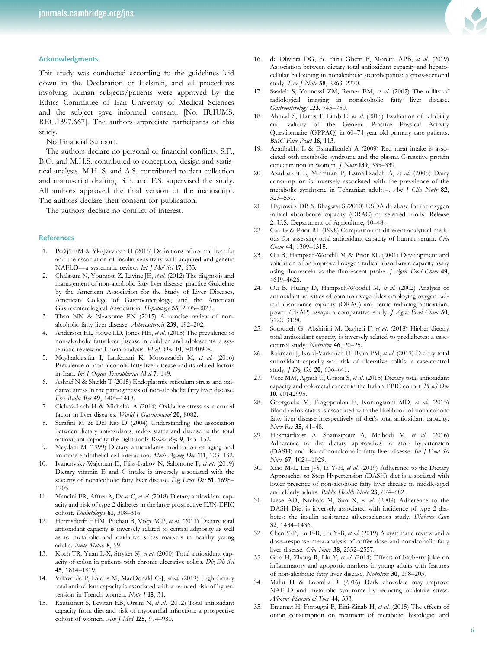#### <span id="page-5-0"></span>Acknowledgments

This study was conducted according to the guidelines laid down in the Declaration of Helsinki, and all procedures involving human subjects/patients were approved by the Ethics Committee of Iran University of Medical Sciences and the subject gave informed consent. [No. IR.IUMS. REC.1397.667]. The authors appreciate participants of this study.

No Financial Support.

The authors declare no personal or financial conflicts. S.F., B.O. and M.H.S. contributed to conception, design and statistical analysis. M.H. S. and A.S. contributed to data collection and manuscript drafting. S.F. and F.S. supervised the study. All authors approved the final version of the manuscript. The authors declare their consent for publication.

The authors declare no conflict of interest.

#### References

- 1. Petäjä EM & Yki-Järvinen H (2016) Definitions of normal liver fat and the association of insulin sensitivity with acquired and genetic NAFLD—a systematic review. Int J Mol Sci 17, 633.
- 2. Chalasani N, Younossi Z, Lavine JE, et al. (2012) The diagnosis and management of non-alcoholic fatty liver disease: practice Guideline by the American Association for the Study of Liver Diseases, American College of Gastroenterology, and the American Gastroenterological Association. Hepatology 55, 2005–2023.
- 3. Than NN & Newsome PN (2015) A concise review of nonalcoholic fatty liver disease. Atherosclerosis 239, 192–202.
- 4. Anderson EL, Howe LD, Jones HE, et al. (2015) The prevalence of non-alcoholic fatty liver disease in children and adolescents: a systematic review and meta-analysis. PLoS One 10, e0140908.
- 5. Moghaddasifar I, Lankarani K, Moosazadeh M, et al. (2016) Prevalence of non-alcoholic fatty liver disease and its related factors in Iran. Int J Organ Transplantat Med 7, 149.
- 6. Ashraf N & Sheikh T (2015) Endoplasmic reticulum stress and oxidative stress in the pathogenesis of non-alcoholic fatty liver disease. Free Radic Res 49, 1405–1418.
- 7. Cichoż-Lach H & Michalak A (2014) Oxidative stress as a crucial factor in liver diseases. World J Gastroenterol 20, 8082.
- 8. Serafini M & Del Rio D (2004) Understanding the association between dietary antioxidants, redox status and disease: is the total antioxidant capacity the right tool? Redox Rep 9, 145–152.
- 9. Meydani M (1999) Dietary antioxidants modulation of aging and immune-endothelial cell interaction. Mech Ageing Dev 111, 123–132.
- 10. Ivancovsky-Wajcman D, Fliss-Isakov N, Salomone F, et al. (2019) Dietary vitamin E and C intake is inversely associated with the severity of nonalcoholic fatty liver disease. Dig Liver Dis 51, 1698-1705.
- 11. Mancini FR, Affret A, Dow C, et al. (2018) Dietary antioxidant capacity and risk of type 2 diabetes in the large prospective E3N-EPIC cohort. Diabetologia 61, 308–316.
- 12. Hermsdorff HHM, Puchau B, Volp ACP, et al. (2011) Dietary total antioxidant capacity is inversely related to central adiposity as well as to metabolic and oxidative stress markers in healthy young adults. Nutr Metab 8, 59.
- 13. Koch TR, Yuan L-X, Stryker SJ, et al. (2000) Total antioxidant capacity of colon in patients with chronic ulcerative colitis. Dig Dis Sci 45, 1814–1819.
- 14. Villaverde P, Lajous M, MacDonald C-J, et al. (2019) High dietary total antioxidant capacity is associated with a reduced risk of hypertension in French women. Nutr J 18, 31.
- 15. Rautiainen S, Levitan EB, Orsini N, et al. (2012) Total antioxidant capacity from diet and risk of myocardial infarction: a prospective cohort of women. Am J Med 125, 974-980.
- 16. de Oliveira DG, de Faria Ghetti F, Moreira APB, et al. (2019) Association between dietary total antioxidant capacity and hepatocellular ballooning in nonalcoholic steatohepatitis: a cross-sectional study. Eur J Nutr 58, 2263-2270.
- 17. Saadeh S, Younossi ZM, Remer EM, et al. (2002) The utility of radiological imaging in nonalcoholic fatty liver disease. Gastroenterology 123, 745–750.
- 18. Ahmad S, Harris T, Limb E, et al. (2015) Evaluation of reliability and validity of the General Practice Physical Activity Questionnaire (GPPAQ) in 60–74 year old primary care patients. BMC Fam Pract 16, 113.
- 19. Azadbakht L & Esmaillzadeh A (2009) Red meat intake is associated with metabolic syndrome and the plasma C-reactive protein concentration in women. *J Nutr* 139, 335-339.
- 20. Azadbakht L, Mirmiran P, Esmaillzadeh A, et al. (2005) Dairy consumption is inversely associated with the prevalence of the metabolic syndrome in Tehranian adults-. Am J Clin Nutr 82, 523–530.
- 21. Haytowitz DB & Bhagwat S (2010) USDA database for the oxygen radical absorbance capacity (ORAC) of selected foods. Release 2. U.S. Department of Agriculture, 10–48.
- 22. Cao G & Prior RL (1998) Comparison of different analytical methods for assessing total antioxidant capacity of human serum. Clin Chem 44, 1309-1315.
- 23. Ou B, Hampsch-Woodill M & Prior RL (2001) Development and validation of an improved oxygen radical absorbance capacity assay using fluorescein as the fluorescent probe. J Agric Food Chem 49, 4619–4626.
- 24. Ou B, Huang D, Hampsch-Woodill M, et al. (2002) Analysis of antioxidant activities of common vegetables employing oxygen radical absorbance capacity (ORAC) and ferric reducing antioxidant power (FRAP) assays: a comparative study. J Agric Food Chem 50, 3122–3128.
- 25. Sotoudeh G, Abshirini M, Bagheri F, et al. (2018) Higher dietary total antioxidant capacity is inversely related to prediabetes: a casecontrol study. Nutrition 46, 20-25.
- 26. Rahmani J, Kord-Varkaneh H, Ryan PM, et al. (2019) Dietary total antioxidant capacity and risk of ulcerative colitis: a case-control study. J Dig Dis 20, 636–641.
- 27. Vece MM, Agnoli C, Grioni S, et al. (2015) Dietary total antioxidant capacity and colorectal cancer in the Italian EPIC cohort. PLoS One 10, e0142995.
- 28. Georgoulis M, Fragopoulou E, Kontogianni MD, et al. (2015) Blood redox status is associated with the likelihood of nonalcoholic fatty liver disease irrespectively of diet's total antioxidant capacity. Nutr Res 35, 41–48.
- 29. Hekmatdoost A, Shamsipour A, Meibodi M, et al. (2016) Adherence to the dietary approaches to stop hypertension (DASH) and risk of nonalcoholic fatty liver disease. Int J Food Sci Nutr 67, 1024–1029.
- 30. Xiao M-L, Lin J-S, Li Y-H, et al. (2019) Adherence to the Dietary Approaches to Stop Hypertension (DASH) diet is associated with lower presence of non-alcoholic fatty liver disease in middle-aged and elderly adults. Public Health Nutr 23, 674-682.
- 31. Liese AD, Nichols M, Sun X, et al. (2009) Adherence to the DASH Diet is inversely associated with incidence of type 2 diabetes: the insulin resistance atherosclerosis study. Diabetes Care 32, 1434–1436.
- 32. Chen Y-P, Lu F-B, Hu Y-B, et al. (2019) A systematic review and a dose–response meta-analysis of coffee dose and nonalcoholic fatty liver disease. Clin Nutr 38, 2552-2557.
- 33. Guo H, Zhong R, Liu Y, et al. (2014) Effects of bayberry juice on inflammatory and apoptotic markers in young adults with features of non-alcoholic fatty liver disease. Nutrition 30, 198–203.
- 34. Malhi H & Loomba R (2016) Dark chocolate may improve NAFLD and metabolic syndrome by reducing oxidative stress. Aliment Pharmacol Ther 44, 533.
- 35. Emamat H, Foroughi F, Eini-Zinab H, et al. (2015) The effects of onion consumption on treatment of metabolic, histologic, and